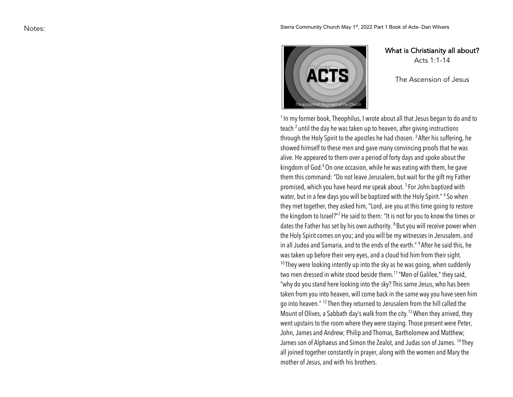

What is Christianity all about? Acts 1: 1 -14

The A scension of Jesus

<sup>1</sup> In my former book, Theophilus, I wrote about all that Jesus began to do and to teach  $^2$  until the day he was taken up to heaven, after giving instructions through the Holy Spirit to the apostles he had chosen. <sup>3</sup> After his suffering, he showed himself to these men and gave many convincing proofs that he was alive. He appeared to them over a period of forty days and spoke about the kingdom of God.<sup>4</sup> On one occasion, while he was eating with them, he gave them this command: "Do not leave Jerusalem, but wait for the gift my Father promised, which you have heard me speak about. <sup>5</sup> For John baptized with water, but in a few days you will be baptized with the Holy Spirit." <sup>6</sup> So when they met together, they asked him, "Lord, are you at this time going to restore the kingdom to Israel?"<sup>7</sup> He said to them: "It is not for you to know the times or dates the Father has set by his own authority.  $^8$  But you will receive power when the Holy Spirit comes on you; and you will be my witnesses in Jerusalem, and in all Judea and Samaria, and to the ends of the earth." <sup>9</sup> After he said this, he was taken up before their very eyes, and a cloud hid him from their sight.  $10$  They were looking intently up into the sky as he was going, when suddenly

two men dressed in white stood beside them.<sup>11</sup> "Men of Galilee," they said, "why do you stand here looking into the sky?This same Jesus, who has been taken from you into heaven, will come back in the same way you have seen him go into heaven." 12 Then they returned to Jerusalem from the hill called the Mount of Olives, a Sabbath day's walk from the city.<sup>13</sup> When they arrived, they went upstairs to the room where they were staying. Those present were Peter, John, James and Andrew; Philip and Thomas, Bartholomew and Matthew; James son of Alphaeus and Simon the Zealot, and Judas son of James. 14 They all joined together constantly in prayer, along with the women and Mary the mother of Jesus, and with his brothers.